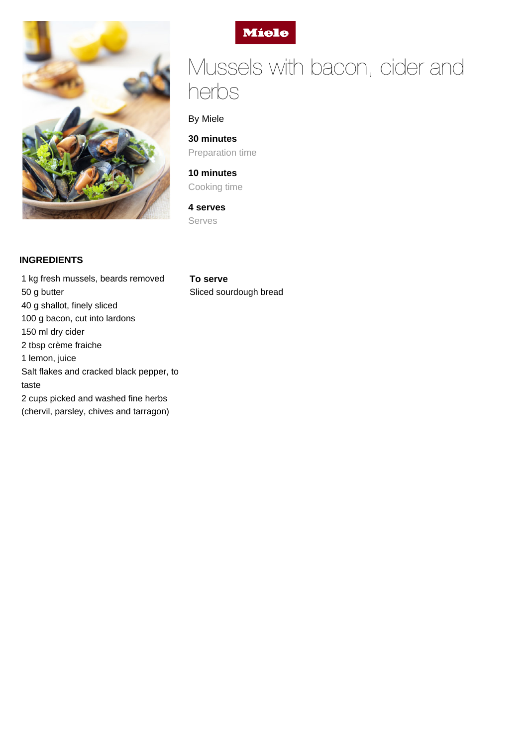



# Mussels with bacon, cider and herbs

## By Miele

**30 minutes** Preparation time

**10 minutes** Cooking time

**4 serves** Serves

#### **INGREDIENTS**

1 kg fresh mussels, beards removed 50 g butter 40 g shallot, finely sliced 100 g bacon, cut into lardons 150 ml dry cider 2 tbsp crème fraiche 1 lemon, juice Salt flakes and cracked black pepper, to taste 2 cups picked and washed fine herbs (chervil, parsley, chives and tarragon)

**To serve** Sliced sourdough bread